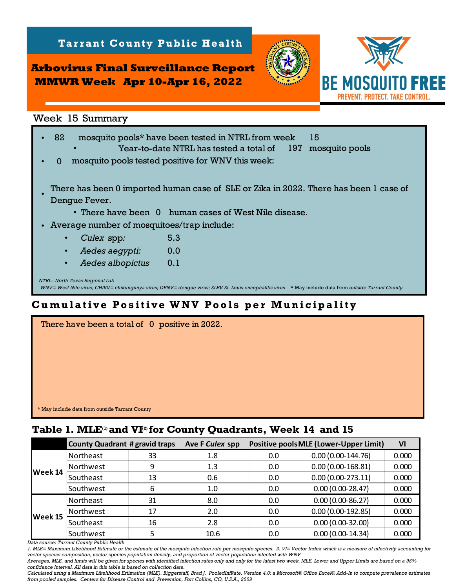**Arbovirus Final Surveillance Report MMWR Week Apr 10-Apr 16, 2022**

**Tarrant County Public Health** 



*NTRL– North Texas Regional Lab WNV= West Nile virus; CHIKV= chikungunya virus; DENV= dengue virus; SLEV St. Louis encephalitis virus* \* May include data from *outside Tarrant County* Week 15 Summary<br>15 1922 mosquito pools\* have been tested in NTRL from week 15<br>1972 wear-to-date NTRL has tested a total of 1972 mosquito pools Year-to-date NTRL has tested a total of  $\Omega$ • There have been 0 human cases of West Nile disease. • Average number of mosquitoes/trap include: • *Culex* spp*:* • • *Aedes albopictus:* 0.1  *Aedes aegypti:* 0.0 mosquito pools tested positive for WNV this week: 5.3 There has been 0 imported human case of SLE or Zika in 2022. There has been 1 case of Dengue Fever. • **Table 1. MLE** and **ICI-Apriliance Report**<br>
Week 15 Summary<br>
Cam-to-date NTRL has tested at otal of 197 mosquito p<br>
Cam-to-date NTRL has tested at otal of 197 mosquito p<br>
10 mosquito pools<sup>\*</sup> have been tested in NTRL from

## **Cumulative Positive WNV Pools per Municipality**

| There have been a total of 0 positive in 2022. |  |
|------------------------------------------------|--|
|                                                |  |
|                                                |  |
|                                                |  |
|                                                |  |
|                                                |  |
|                                                |  |
| * May include data from outside Tarrant County |  |

|         | <b>County Quadrant # gravid traps</b> |    | Ave F Culex spp |     | <b>Positive pools MLE (Lower-Upper Limit)</b> | VI    |
|---------|---------------------------------------|----|-----------------|-----|-----------------------------------------------|-------|
| Week 14 | Northeast                             | 33 | 1.8             | 0.0 | $0.00(0.00-144.76)$                           | 0.000 |
|         | Northwest                             | 9  | 1.3             | 0.0 | $0.00(0.00-168.81)$                           | 0.000 |
|         | Southeast                             | 13 | 0.6             | 0.0 | $0.00(0.00-273.11)$                           | 0.000 |
|         | Southwest                             | 6  | 1.0             | 0.0 | $0.00(0.00-28.47)$                            | 0.000 |
| Week 15 | Northeast                             | 31 | 8.0             | 0.0 | $0.00(0.00-86.27)$                            | 0.000 |
|         | Northwest                             | 17 | 2.0             | 0.0 | $0.00(0.00-192.85)$                           | 0.000 |
|         | Southeast                             | 16 | 2.8             | 0.0 | $0.00(0.00-32.00)$                            | 0.000 |
|         | Southwest                             |    | 10.6            | 0.0 | $0.00(0.00-14.34)$                            | 0.000 |

*Data source: Tarrant County Public Health* 

*1. MLE= Maximum Likelihood Estimate or the estimate of the mosquito infection rate per mosquito species. 2. VI= Vector Index which is a measure of infectivity accounting for vector species composition, vector species population density, and proportion of vector population infected with WNV*

*Averages, MLE, and limits will be given for species with identified infection rates only and only for the latest two week. MLE, Lower and Upper Limits are based on a 95% confidence interval. All data in this table is based on collection date.*

*Calculated using a Maximum Likelihood Estimation (MLE). Biggerstaff, Brad J. PooledInfRate, Version 4.0: a Microsoft® Office Excel© Add-In to compute prevalence estimates from pooled samples. Centers for Disease Control and Prevention, Fort Collins, CO, U.S.A., 2009*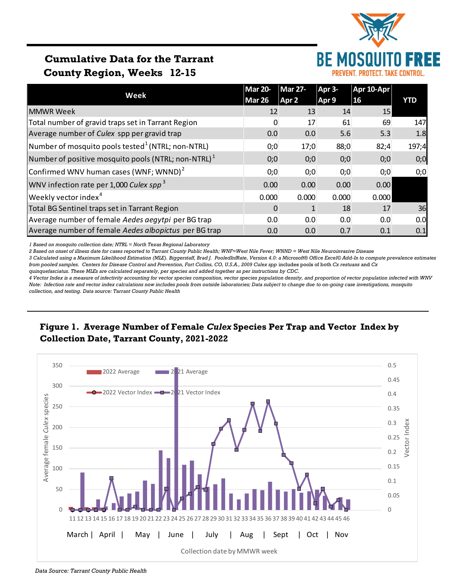

# **Cumulative Data for the Tarrant County Region, Weeks 12-15**

|                                                                 | <b>Mar 20-</b> | <b>Mar 27-</b> | Apr 3- | Apr 10-Apr |            |
|-----------------------------------------------------------------|----------------|----------------|--------|------------|------------|
| Week                                                            | <b>Mar 26</b>  | Apr 2          | Apr 9  | <b>16</b>  | <b>YTD</b> |
| <b>MMWR Week</b>                                                | 12             | 13             | 14     | 15         |            |
| Total number of gravid traps set in Tarrant Region              | $\Omega$       | 17             | 61     | 69         | 147        |
| Average number of Culex spp per gravid trap                     | 0.0            | 0.0            | 5.6    | 5.3        | 1.8        |
| $\vert$ Number of mosquito pools tested $^1$ (NTRL; non-NTRL)   | 0;0            | 17;0           | 88;0   | 82;4       | 197;4      |
| Number of positive mosquito pools (NTRL; non-NTRL) <sup>1</sup> | 0;0            | 0;0            | 0;0    | 0;0        | 0;0        |
| Confirmed WNV human cases (WNF; WNND) <sup>2</sup>              | 0;0            | 0;0            | 0;0    | 0;0        | 0;0        |
| WNV infection rate per 1,000 Culex spp <sup>3</sup>             | 0.00           | 0.00           | 0.00   | 0.00       |            |
| Weekly vector index <sup>4</sup>                                | 0.000          | 0.000          | 0.000  | 0.000      |            |
| Total BG Sentinel traps set in Tarrant Region                   | 0              |                | 18     | 17         | 36         |
| Average number of female Aedes aegytpi per BG trap              | 0.0            | 0.0            | 0.0    | 0.0        | 0.0        |
| Average number of female Aedes albopictus per BG trap           | 0.0            | 0.0            | 0.7    | 0.1        | 0.1        |

*1 Based on mosquito collection date; NTRL = North Texas Regional Laboratory*

*2 Based on onset of illness date for cases reported to Tarrant County Public Health; WNF=West Nile Fever; WNND = West Nile Neuroinvasive Disease*

*3 Calculated using a Maximum Likelihood Estimation (MLE). Biggerstaff, Brad J. PooledInfRate, Version 4.0: a Microsoft® Office Excel© Add-In to compute prevalence estimates from pooled samples. Centers for Disease Control and Prevention, Fort Collins, CO, U.S.A., 2009 Culex spp* includes pools of both *Cx restuans* and *Cx* 

*quinquefasciatus. These MLEs are calculated separately, per species and added together as per instructions by CDC.*

*4 Vector Index is a measure of infectivity accounting for vector species composition, vector species population density, and proportion of vector population infected with WNV Note: Infection rate and vector index calculations now includes pools from outside laboratories; Data subject to change due to on-going case investigations, mosquito collection, and testing. Data source: Tarrant County Public Health*

## **Figure 1. Average Number of Female** *Culex* **Species Per Trap and Vector Index by Collection Date, Tarrant County, 2021-2022**



*Data Source: Tarrant County Public Health*